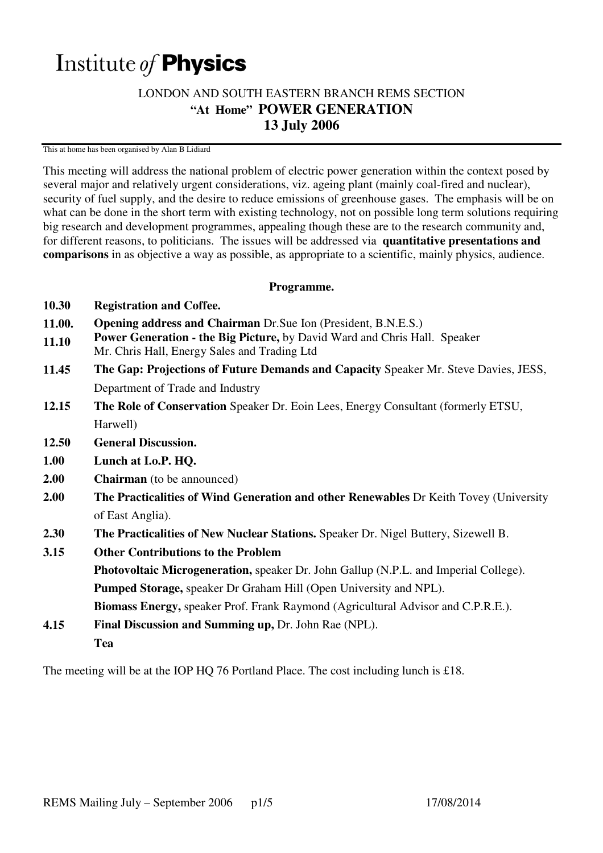# Institute of **Physics**

# LONDON AND SOUTH EASTERN BRANCH REMS SECTION **"At Home" POWER GENERATION 13 July 2006**

This at home has been organised by Alan B Lidiard

This meeting will address the national problem of electric power generation within the context posed by several major and relatively urgent considerations, viz. ageing plant (mainly coal-fired and nuclear), security of fuel supply, and the desire to reduce emissions of greenhouse gases. The emphasis will be on what can be done in the short term with existing technology, not on possible long term solutions requiring big research and development programmes, appealing though these are to the research community and, for different reasons, to politicians. The issues will be addressed via **quantitative presentations and comparisons** in as objective a way as possible, as appropriate to a scientific, mainly physics, audience.

## **Programme.**

- **10.30 Registration and Coffee.**
- **11.00. Opening address and Chairman** Dr.Sue Ion (President, B.N.E.S.)
- **11.10 Power Generation - the Big Picture,** by David Ward and Chris Hall. Speaker
- Mr. Chris Hall, Energy Sales and Trading Ltd
- **11.45 The Gap: Projections of Future Demands and Capacity** Speaker Mr. Steve Davies, JESS, Department of Trade and Industry
- **12.15 The Role of Conservation** Speaker Dr. Eoin Lees, Energy Consultant (formerly ETSU, Harwell)
- **12.50 General Discussion.**
- **1.00 Lunch at I.o.P. HQ.**
- **2.00 Chairman** (to be announced)
- **2.00 The Practicalities of Wind Generation and other Renewables** Dr Keith Tovey (University of East Anglia).
- **2.30 The Practicalities of New Nuclear Stations.** Speaker Dr. Nigel Buttery, Sizewell B.
- **3.15 Other Contributions to the Problem Photovoltaic Microgeneration,** speaker Dr. John Gallup (N.P.L. and Imperial College). **Pumped Storage,** speaker Dr Graham Hill (Open University and NPL). **Biomass Energy,** speaker Prof. Frank Raymond (Agricultural Advisor and C.P.R.E.).
- **4.15 Final Discussion and Summing up,** Dr. John Rae (NPL). **Tea**

The meeting will be at the IOP HQ 76 Portland Place. The cost including lunch is  $\pounds$ 18.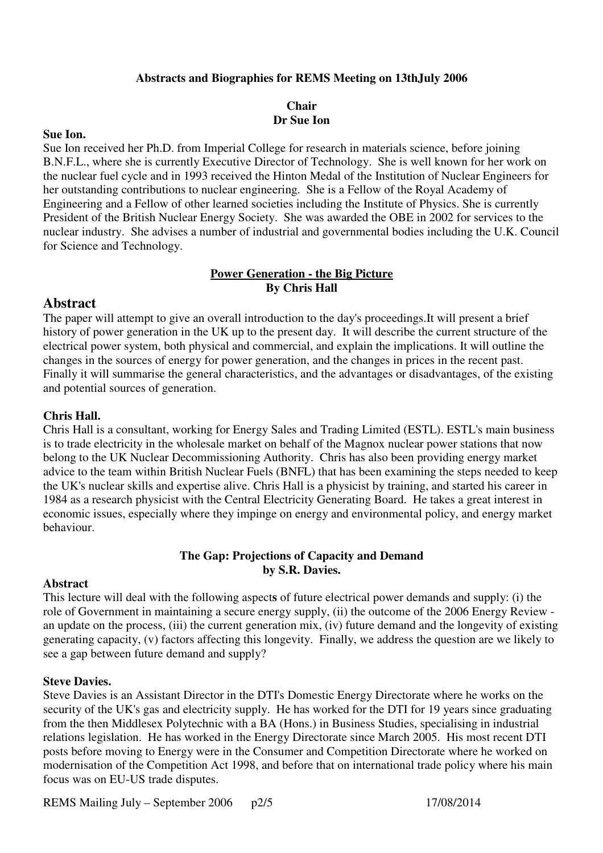## **Abstracts and Biographies for REMS Meeting on 13thJuly 2006**

## **Chair Dr Sue Ion**

#### **Sue Ion.**

Sue Ion received her Ph.D. from Imperial College for research in materials science, before joining B.N.F.L., where she is currently Executive Director of Technology. She is well known for her work on the nuclear fuel cycle and in 1993 received the Hinton Medal of the Institution of Nuclear Engineers for her outstanding contributions to nuclear engineering. She is a Fellow of the Royal Academy of Engineering and a Fellow of other learned societies including the Institute of Physics. She is currently President of the British Nuclear Energy Society.She was awarded the OBE in 2002 for services to the nuclear industry. She advises a number of industrial and governmental bodies including the U.K. Council for Science and Technology.

## **Power Generation - the Big Picture By Chris Hall**

## **Abstract**

The paper will attempt to give an overall introduction to the day's proceedings.It will present a brief history of power generation in the UK up to the present day. It will describe the current structure of the electrical power system, both physical and commercial, and explain the implications. It will outline the changes in the sources of energy for power generation, and the changes in prices in the recent past. Finally it will summarise the general characteristics, and the advantages or disadvantages, of the existing and potential sources of generation.

## **Chris Hall.**

Chris Hall is a consultant, working for Energy Sales and Trading Limited (ESTL). ESTL's main business is to trade electricity in the wholesale market on behalf of the Magnox nuclear power stations that now belong to the UK Nuclear Decommissioning Authority. Chris has also been providing energy market advice to the team within British Nuclear Fuels (BNFL) that has been examining the steps needed to keep the UK's nuclear skills and expertise alive. Chris Hall is a physicist by training, and started his career in 1984 as a research physicist with the Central Electricity Generating Board. He takes a great interest in economic issues, especially where they impinge on energy and environmental policy, and energy market behaviour.

# **The Gap: Projections of Capacity and Demand by S.R. Davies.**

## **Abstract**

This lecture will deal with the following aspect**s** of future electrical power demands and supply: (i) the role of Government in maintaining a secure energy supply, (ii) the outcome of the 2006 Energy Review an update on the process, (iii) the current generation mix, (iv) future demand and the longevity of existing generating capacity, (v) factors affecting this longevity. Finally, we address the question are we likely to see a gap between future demand and supply?

## **Steve Davies.**

Steve Davies is an Assistant Director in the DTI's Domestic Energy Directorate where he works on the security of the UK's gas and electricity supply. He has worked for the DTI for 19 years since graduating from the then Middlesex Polytechnic with a BA (Hons.) in Business Studies, specialising in industrial relations legislation. He has worked in the Energy Directorate since March 2005. His most recent DTI posts before moving to Energy were in the Consumer and Competition Directorate where he worked on modernisation of the Competition Act 1998, and before that on international trade policy where his main focus was on EU-US trade disputes.

REMS Mailing July – September 2006 p2/5 17/08/2014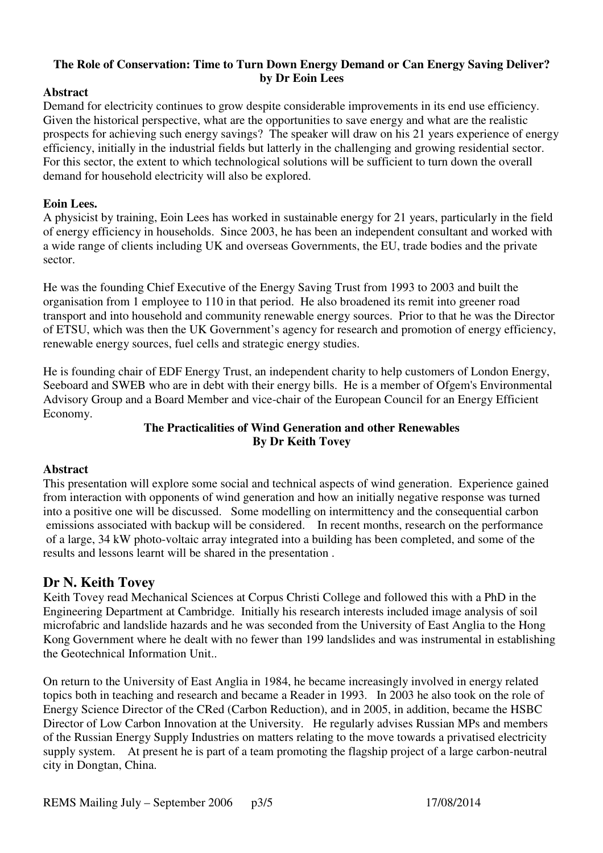# **The Role of Conservation: Time to Turn Down Energy Demand or Can Energy Saving Deliver? by Dr Eoin Lees**

# **Abstract**

Demand for electricity continues to grow despite considerable improvements in its end use efficiency. Given the historical perspective, what are the opportunities to save energy and what are the realistic prospects for achieving such energy savings? The speaker will draw on his 21 years experience of energy efficiency, initially in the industrial fields but latterly in the challenging and growing residential sector. For this sector, the extent to which technological solutions will be sufficient to turn down the overall demand for household electricity will also be explored.

## **Eoin Lees.**

A physicist by training, Eoin Lees has worked in sustainable energy for 21 years, particularly in the field of energy efficiency in households. Since 2003, he has been an independent consultant and worked with a wide range of clients including UK and overseas Governments, the EU, trade bodies and the private sector.

He was the founding Chief Executive of the Energy Saving Trust from 1993 to 2003 and built the organisation from 1 employee to 110 in that period. He also broadened its remit into greener road transport and into household and community renewable energy sources. Prior to that he was the Director of ETSU, which was then the UK Government's agency for research and promotion of energy efficiency, renewable energy sources, fuel cells and strategic energy studies.

He is founding chair of EDF Energy Trust, an independent charity to help customers of London Energy, Seeboard and SWEB who are in debt with their energy bills. He is a member of Ofgem's Environmental Advisory Group and a Board Member and vice-chair of the European Council for an Energy Efficient Economy.

# **The Practicalities of Wind Generation and other Renewables By Dr Keith Tovey**

# **Abstract**

This presentation will explore some social and technical aspects of wind generation. Experience gained from interaction with opponents of wind generation and how an initially negative response was turned into a positive one will be discussed. Some modelling on intermittency and the consequential carbon emissions associated with backup will be considered. In recent months, research on the performance of a large, 34 kW photo-voltaic array integrated into a building has been completed, and some of the results and lessons learnt will be shared in the presentation .

# **Dr N. Keith Tovey**

Keith Tovey read Mechanical Sciences at Corpus Christi College and followed this with a PhD in the Engineering Department at Cambridge. Initially his research interests included image analysis of soil microfabric and landslide hazards and he was seconded from the University of East Anglia to the Hong Kong Government where he dealt with no fewer than 199 landslides and was instrumental in establishing the Geotechnical Information Unit..

On return to the University of East Anglia in 1984, he became increasingly involved in energy related topics both in teaching and research and became a Reader in 1993. In 2003 he also took on the role of Energy Science Director of the CRed (Carbon Reduction), and in 2005, in addition, became the HSBC Director of Low Carbon Innovation at the University. He regularly advises Russian MPs and members of the Russian Energy Supply Industries on matters relating to the move towards a privatised electricity supply system. At present he is part of a team promoting the flagship project of a large carbon-neutral city in Dongtan, China.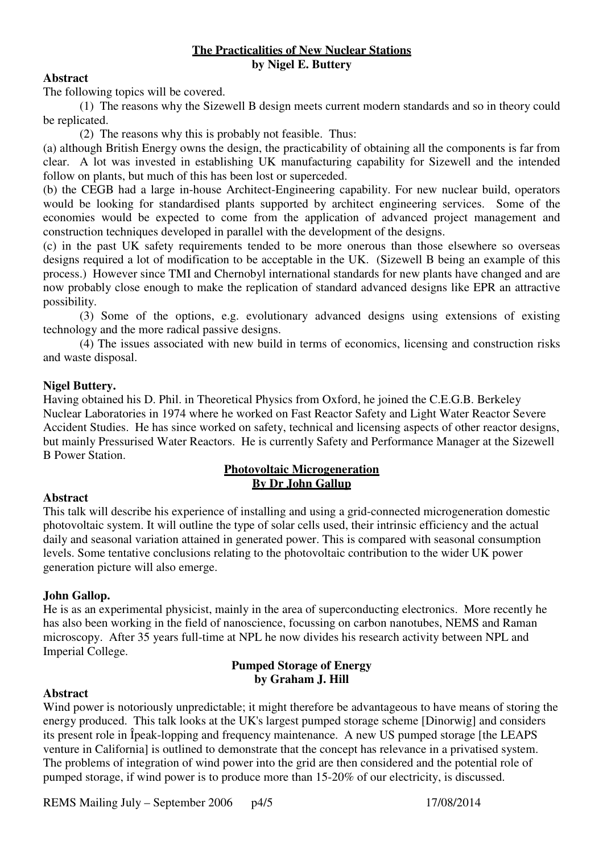## **The Practicalities of New Nuclear Stations by Nigel E. Buttery**

## **Abstract**

The following topics will be covered.

 (1) The reasons why the Sizewell B design meets current modern standards and so in theory could be replicated.

(2) The reasons why this is probably not feasible. Thus:

(a) although British Energy owns the design, the practicability of obtaining all the components is far from clear. A lot was invested in establishing UK manufacturing capability for Sizewell and the intended follow on plants, but much of this has been lost or superceded.

(b) the CEGB had a large in-house Architect-Engineering capability. For new nuclear build, operators would be looking for standardised plants supported by architect engineering services. Some of the economies would be expected to come from the application of advanced project management and construction techniques developed in parallel with the development of the designs.

(c) in the past UK safety requirements tended to be more onerous than those elsewhere so overseas designs required a lot of modification to be acceptable in the UK. (Sizewell B being an example of this process.) However since TMI and Chernobyl international standards for new plants have changed and are now probably close enough to make the replication of standard advanced designs like EPR an attractive possibility.

 (3) Some of the options, e.g. evolutionary advanced designs using extensions of existing technology and the more radical passive designs.

 (4) The issues associated with new build in terms of economics, licensing and construction risks and waste disposal.

# **Nigel Buttery.**

Having obtained his D. Phil. in Theoretical Physics from Oxford, he joined the C.E.G.B. Berkeley Nuclear Laboratories in 1974 where he worked on Fast Reactor Safety and Light Water Reactor Severe Accident Studies. He has since worked on safety, technical and licensing aspects of other reactor designs, but mainly Pressurised Water Reactors. He is currently Safety and Performance Manager at the Sizewell B Power Station.

# **Photovoltaic Microgeneration By Dr John Gallup**

# **Abstract**

This talk will describe his experience of installing and using a grid-connected microgeneration domestic photovoltaic system. It will outline the type of solar cells used, their intrinsic efficiency and the actual daily and seasonal variation attained in generated power. This is compared with seasonal consumption levels. Some tentative conclusions relating to the photovoltaic contribution to the wider UK power generation picture will also emerge.

# **John Gallop.**

He is as an experimental physicist, mainly in the area of superconducting electronics. More recently he has also been working in the field of nanoscience, focussing on carbon nanotubes, NEMS and Raman microscopy. After 35 years full-time at NPL he now divides his research activity between NPL and Imperial College.

# **Pumped Storage of Energy by Graham J. Hill**

# **Abstract**

Wind power is notoriously unpredictable; it might therefore be advantageous to have means of storing the energy produced. This talk looks at the UK's largest pumped storage scheme [Dinorwig] and considers its present role in Îpeak-lopping and frequency maintenance. A new US pumped storage [the LEAPS venture in California] is outlined to demonstrate that the concept has relevance in a privatised system. The problems of integration of wind power into the grid are then considered and the potential role of pumped storage, if wind power is to produce more than 15-20% of our electricity, is discussed.